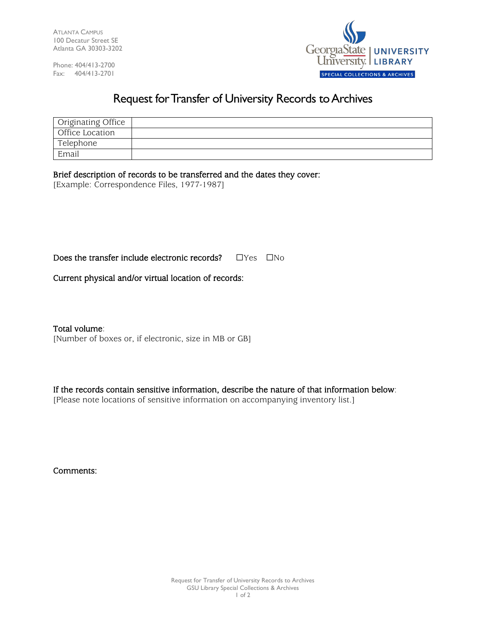ATLANTA CAMPUS 100 Decatur Street SE Atlanta GA 30303-3202

Phone: 404/413-2700 Fax: 404/413-2701



## Request for Transfer of University Records to Archives

| Originating Office |  |
|--------------------|--|
| Office Location    |  |
| Telephone          |  |
| Email              |  |

Brief description of records to be transferred and the dates they cover:

[Example: Correspondence Files, 1977-1987]

Does the transfer include electronic records? □Yes □No

Current physical and/or virtual location of records:

Total volume:

[Number of boxes or, if electronic, size in MB or GB]

If the records contain sensitive information, describe the nature of that information below:

[Please note locations of sensitive information on accompanying inventory list.]

Comments: